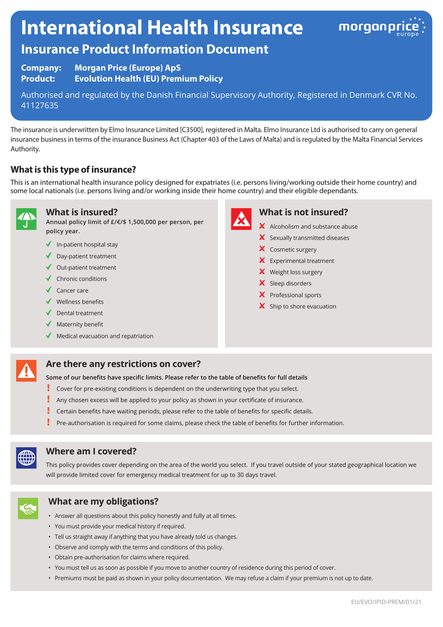# **International Health Insurance**



# **Insurance Product Information Document**

**Company: Morgan Price (Europe) ApS Product: Evolution Health (EU) Premium Policy**

Authorised and regulated by the Danish Financial Supervisory Authority, Registered in Denmark CVR No. 41127635

The insurance is underwritten by Elmo Insurance Limited [C3500], registered in Malta. Elmo Insurance Ltd is authorised to carry on general insurance business in terms of the insurance Business Act (Chapter 403 of the Laws of Malta) and is regulated by the Malta Financial Services Authority.

## **What is this type of insurance?**

This is an international health insurance policy designed for expatriates (i.e. persons living/working outside their home country) and some local nationals (i.e. persons living and/or working inside their home country) and their eligible dependants.



**What is insured?**

**Annual policy limit of £/€/\$ 1,500,000 per person, per policy year.**

- $\checkmark$  In-patient hospital stay
- ◆ Day-patient treatment
- ◆ Out-patient treatment
- $\checkmark$  Chronic conditions
- ◆ Cancer care
- Wellness benefits
- $\blacklozenge$  Dental treatment
- $\blacklozenge$  Maternity benefit
- $\blacklozenge$  Medical evacuation and repatriation



## **What is not insured?**

- X Alcoholism and substance abuse
- $\boldsymbol{\times}$  Sexually transmitted diseases
- X Cosmetic surgery
- **X** Experimental treatment
- X Weight loss surgery
- X Sleep disorders
- X Professional sports
- $\boldsymbol{\times}$  Ship to shore evacuation

#### **Are there any restrictions on cover?**

**Some of our benefits have specific limits. Please refer to the table of benefits for full details**

- Ĩ Cover for pre-existing conditions is dependent on the underwriting type that you select.
- Ţ Any chosen excess will be applied to your policy as shown in your certificate of insurance.
- Certain benefits have waiting periods, please refer to the table of benefits for specific details.
- Pre-authorisation is required for some claims, please check the table of benefits for further information.



#### **Where am I covered?**

This policy provides cover depending on the area of the world you select. If you travel outside of your stated geographical location we will provide limited cover for emergency medical treatment for up to 30 days travel.



#### **What are my obligations?**

- Answer all questions about this policy honestly and fully at all times.
- You must provide your medical history if required.
- Tell us straight away if anything that you have already told us changes.
- Observe and comply with the terms and conditions of this policy.
- Obtain pre-authorisation for claims where required.
- You must tell us as soon as possible if you move to another country of residence during this period of cover.
- Premiums must be paid as shown in your policy documentation. We may refuse a claim if your premium is not up to date.